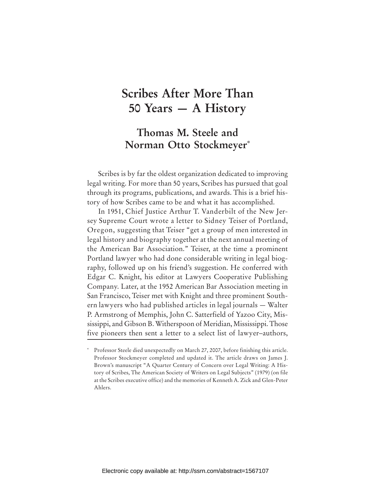# **Scribes After More Than 50 Years — A History**

## **Thomas M. Steele and Norman Otto Stockmeyer\***

Scribes is by far the oldest organization dedicated to improving legal writing. For more than 50 years, Scribes has pursued that goal through its programs, publications, and awards. This is a brief history of how Scribes came to be and what it has accomplished.

In 1951, Chief Justice Arthur T. Vanderbilt of the New Jersey Supreme Court wrote a letter to Sidney Teiser of Portland, Oregon, suggesting that Teiser "get a group of men interested in legal history and biography together at the next annual meeting of the American Bar Association." Teiser, at the time a prominent Portland lawyer who had done considerable writing in legal biography, followed up on his friend's suggestion. He conferred with Edgar C. Knight, his editor at Lawyers Cooperative Publishing Company. Later, at the 1952 American Bar Association meeting in San Francisco, Teiser met with Knight and three prominent Southern lawyers who had published articles in legal journals — Walter P. Armstrong of Memphis, John C. Satterfield of Yazoo City, Mississippi, and Gibson B. Witherspoon of Meridian, Mississippi. Those five pioneers then sent a letter to a select list of lawyer–authors,

**<sup>\*</sup>** Professor Steele died unexpectedly on March 27, 2007, before finishing this article. Professor Stockmeyer completed and updated it. The article draws on James J. Brown's manuscript "A Quarter Century of Concern over Legal Writing: A History of Scribes, The American Society of Writers on Legal Subjects" (1979) (on file at the Scribes executive office) and the memories of Kenneth A. Zick and Glen-Peter Ahlers.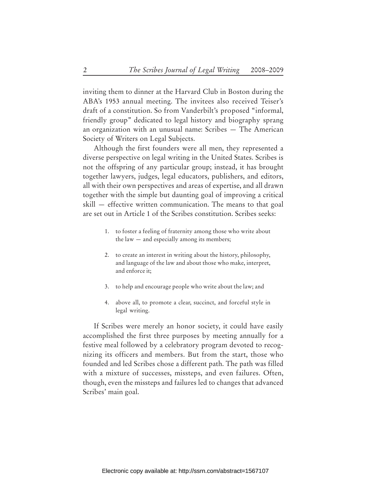inviting them to dinner at the Harvard Club in Boston during the ABA's 1953 annual meeting. The invitees also received Teiser's draft of a constitution. So from Vanderbilt's proposed "informal, friendly group" dedicated to legal history and biography sprang an organization with an unusual name: Scribes — The American Society of Writers on Legal Subjects.

Although the first founders were all men, they represented a diverse perspective on legal writing in the United States. Scribes is not the offspring of any particular group; instead, it has brought together lawyers, judges, legal educators, publishers, and editors, all with their own perspectives and areas of expertise, and all drawn together with the simple but daunting goal of improving a critical skill — effective written communication. The means to that goal are set out in Article 1 of the Scribes constitution. Scribes seeks:

- 1. to foster a feeling of fraternity among those who write about the law — and especially among its members;
- 2. to create an interest in writing about the history, philosophy, and language of the law and about those who make, interpret, and enforce it;
- 3. to help and encourage people who write about the law; and
- 4. above all, to promote a clear, succinct, and forceful style in legal writing.

If Scribes were merely an honor society, it could have easily accomplished the first three purposes by meeting annually for a festive meal followed by a celebratory program devoted to recognizing its officers and members. But from the start, those who founded and led Scribes chose a different path. The path was filled with a mixture of successes, missteps, and even failures. Often, though, even the missteps and failures led to changes that advanced Scribes' main goal.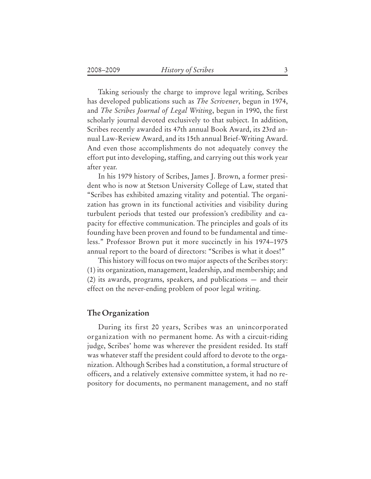Taking seriously the charge to improve legal writing, Scribes has developed publications such as *The Scrivener*, begun in 1974, and *The Scribes Journal of Legal Writing*, begun in 1990, the first scholarly journal devoted exclusively to that subject. In addition, Scribes recently awarded its 47th annual Book Award, its 23rd annual Law-Review Award, and its 15th annual Brief-Writing Award. And even those accomplishments do not adequately convey the effort put into developing, staffing, and carrying out this work year after year.

In his 1979 history of Scribes, James J. Brown, a former president who is now at Stetson University College of Law, stated that "Scribes has exhibited amazing vitality and potential. The organization has grown in its functional activities and visibility during turbulent periods that tested our profession's credibility and capacity for effective communication. The principles and goals of its founding have been proven and found to be fundamental and timeless." Professor Brown put it more succinctly in his 1974–1975 annual report to the board of directors: "Scribes is what it does!"

This history will focus on two major aspects of the Scribes story: (1) its organization, management, leadership, and membership; and (2) its awards, programs, speakers, and publications — and their effect on the never-ending problem of poor legal writing.

## **The Organization**

During its first 20 years, Scribes was an unincorporated organization with no permanent home. As with a circuit-riding judge, Scribes' home was wherever the president resided. Its staff was whatever staff the president could afford to devote to the organization. Although Scribes had a constitution, a formal structure of officers, and a relatively extensive committee system, it had no repository for documents, no permanent management, and no staff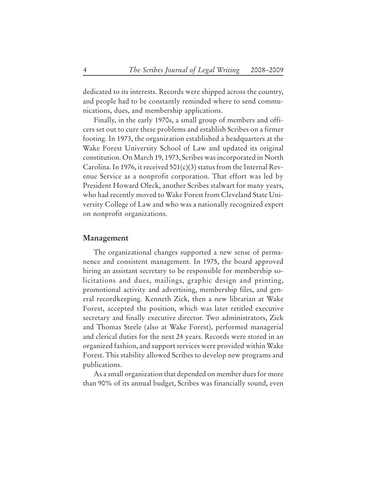dedicated to its interests. Records were shipped across the country, and people had to be constantly reminded where to send communications, dues, and membership applications.

Finally, in the early 1970s, a small group of members and officers set out to cure these problems and establish Scribes on a firmer footing. In 1973, the organization established a headquarters at the Wake Forest University School of Law and updated its original constitution. On March 19, 1973, Scribes was incorporated in North Carolina. In 1976, it received  $501(c)(3)$  status from the Internal Revenue Service as a nonprofit corporation. That effort was led by President Howard Oleck, another Scribes stalwart for many years, who had recently moved to Wake Forest from Cleveland State University College of Law and who was a nationally recognized expert on nonprofit organizations.

#### **Management**

The organizational changes supported a new sense of permanence and consistent management. In 1975, the board approved hiring an assistant secretary to be responsible for membership solicitations and dues, mailings, graphic design and printing, promotional activity and advertising, membership files, and general recordkeeping. Kenneth Zick, then a new librarian at Wake Forest, accepted the position, which was later retitled executive secretary and finally executive director. Two administrators, Zick and Thomas Steele (also at Wake Forest), performed managerial and clerical duties for the next 24 years. Records were stored in an organized fashion, and support services were provided within Wake Forest. This stability allowed Scribes to develop new programs and publications.

As a small organization that depended on member dues for more than 90% of its annual budget, Scribes was financially sound, even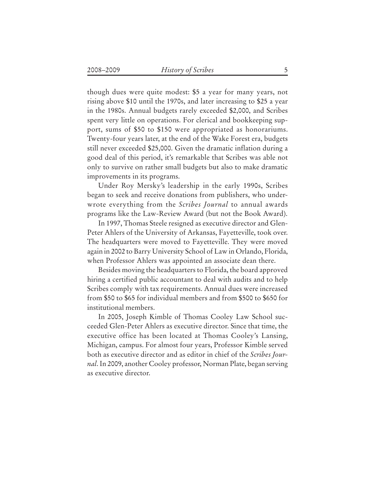though dues were quite modest: \$5 a year for many years, not rising above \$10 until the 1970s, and later increasing to \$25 a year in the 1980s. Annual budgets rarely exceeded \$2,000, and Scribes spent very little on operations. For clerical and bookkeeping support, sums of \$50 to \$150 were appropriated as honorariums. Twenty-four years later, at the end of the Wake Forest era, budgets still never exceeded \$25,000. Given the dramatic inflation during a good deal of this period, it's remarkable that Scribes was able not only to survive on rather small budgets but also to make dramatic improvements in its programs.

Under Roy Mersky's leadership in the early 1990s, Scribes began to seek and receive donations from publishers, who underwrote everything from the *Scribes Journal* to annual awards programs like the Law-Review Award (but not the Book Award).

In 1997, Thomas Steele resigned as executive director and Glen-Peter Ahlers of the University of Arkansas, Fayetteville, took over. The headquarters were moved to Fayetteville. They were moved again in 2002 to Barry University School of Law in Orlando, Florida, when Professor Ahlers was appointed an associate dean there.

Besides moving the headquarters to Florida, the board approved hiring a certified public accountant to deal with audits and to help Scribes comply with tax requirements. Annual dues were increased from \$50 to \$65 for individual members and from \$500 to \$650 for institutional members.

In 2005, Joseph Kimble of Thomas Cooley Law School succeeded Glen-Peter Ahlers as executive director. Since that time, the executive office has been located at Thomas Cooley's Lansing, Michigan, campus. For almost four years, Professor Kimble served both as executive director and as editor in chief of the *Scribes Journal*. In 2009, another Cooley professor, Norman Plate, began serving as executive director.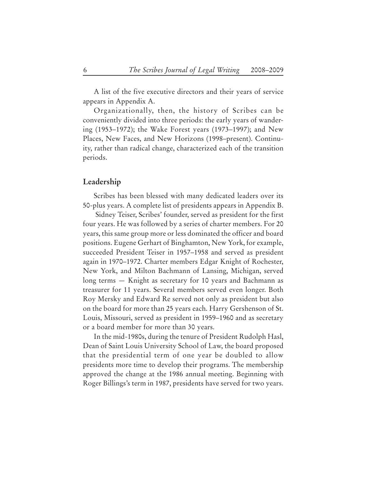A list of the five executive directors and their years of service appears in Appendix A.

Organizationally, then, the history of Scribes can be conveniently divided into three periods: the early years of wandering (1953–1972); the Wake Forest years (1973–1997); and New Places, New Faces, and New Horizons (1998–present). Continuity, rather than radical change, characterized each of the transition periods.

### **Leadership**

Scribes has been blessed with many dedicated leaders over its 50-plus years. A complete list of presidents appears in Appendix B.

 Sidney Teiser, Scribes' founder, served as president for the first four years. He was followed by a series of charter members. For 20 years, this same group more or less dominated the officer and board positions. Eugene Gerhart of Binghamton, New York, for example, succeeded President Teiser in 1957–1958 and served as president again in 1970–1972. Charter members Edgar Knight of Rochester, New York, and Milton Bachmann of Lansing, Michigan, served long terms — Knight as secretary for 10 years and Bachmann as treasurer for 11 years. Several members served even longer. Both Roy Mersky and Edward Re served not only as president but also on the board for more than 25 years each. Harry Gershenson of St. Louis, Missouri, served as president in 1959–1960 and as secretary or a board member for more than 30 years.

In the mid-1980s, during the tenure of President Rudolph Hasl, Dean of Saint Louis University School of Law, the board proposed that the presidential term of one year be doubled to allow presidents more time to develop their programs. The membership approved the change at the 1986 annual meeting. Beginning with Roger Billings's term in 1987, presidents have served for two years.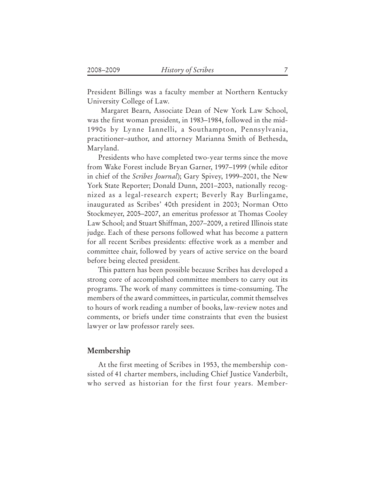President Billings was a faculty member at Northern Kentucky University College of Law.

 Margaret Bearn, Associate Dean of New York Law School, was the first woman president, in 1983–1984, followed in the mid-1990s by Lynne Iannelli, a Southampton, Pennsylvania, practitioner–author, and attorney Marianna Smith of Bethesda, Maryland.

Presidents who have completed two-year terms since the move from Wake Forest include Bryan Garner, 1997–1999 (while editor in chief of the *Scribes Journal*); Gary Spivey, 1999–2001, the New York State Reporter; Donald Dunn, 2001–2003, nationally recognized as a legal-research expert; Beverly Ray Burlingame, inaugurated as Scribes' 40th president in 2003; Norman Otto Stockmeyer, 2005–2007, an emeritus professor at Thomas Cooley Law School; and Stuart Shiffman, 2007–2009, a retired Illinois state judge. Each of these persons followed what has become a pattern for all recent Scribes presidents: effective work as a member and committee chair, followed by years of active service on the board before being elected president.

This pattern has been possible because Scribes has developed a strong core of accomplished committee members to carry out its programs. The work of many committees is time-consuming. The members of the award committees, in particular, commit themselves to hours of work reading a number of books, law-review notes and comments, or briefs under time constraints that even the busiest lawyer or law professor rarely sees.

## **Membership**

At the first meeting of Scribes in 1953, the membership consisted of 41 charter members, including Chief Justice Vanderbilt, who served as historian for the first four years. Member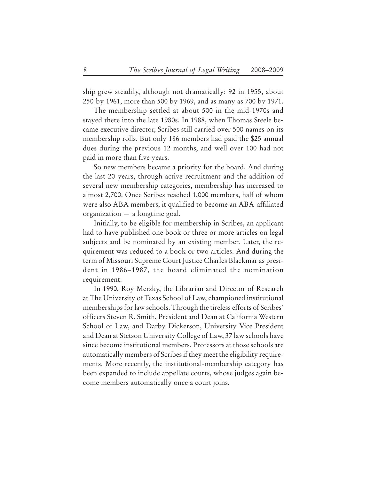ship grew steadily, although not dramatically: 92 in 1955, about 250 by 1961, more than 500 by 1969, and as many as 700 by 1971.

The membership settled at about 500 in the mid-1970s and stayed there into the late 1980s. In 1988, when Thomas Steele became executive director, Scribes still carried over 500 names on its membership rolls. But only 186 members had paid the \$25 annual dues during the previous 12 months, and well over 100 had not paid in more than five years.

So new members became a priority for the board. And during the last 20 years, through active recruitment and the addition of several new membership categories, membership has increased to almost 2,700. Once Scribes reached 1,000 members, half of whom were also ABA members, it qualified to become an ABA-affiliated organization — a longtime goal.

Initially, to be eligible for membership in Scribes, an applicant had to have published one book or three or more articles on legal subjects and be nominated by an existing member. Later, the requirement was reduced to a book or two articles. And during the term of Missouri Supreme Court Justice Charles Blackmar as president in 1986–1987, the board eliminated the nomination requirement.

In 1990, Roy Mersky, the Librarian and Director of Research at The University of Texas School of Law, championed institutional memberships for law schools. Through the tireless efforts of Scribes' officers Steven R. Smith, President and Dean at California Western School of Law, and Darby Dickerson, University Vice President and Dean at Stetson University College of Law, 37 law schools have since become institutional members. Professors at those schools are automatically members of Scribes if they meet the eligibility requirements. More recently, the institutional-membership category has been expanded to include appellate courts, whose judges again become members automatically once a court joins.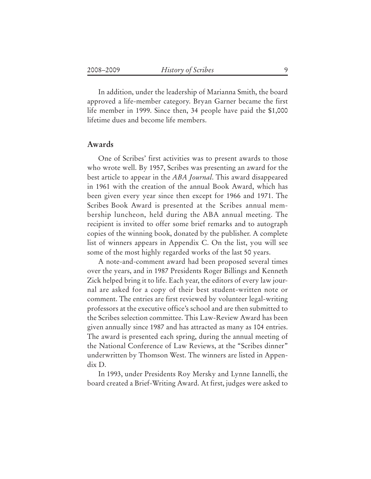In addition, under the leadership of Marianna Smith, the board approved a life-member category. Bryan Garner became the first life member in 1999. Since then, 34 people have paid the \$1,000 lifetime dues and become life members.

### **Awards**

One of Scribes' first activities was to present awards to those who wrote well. By 1957, Scribes was presenting an award for the best article to appear in the *ABA Journal*. This award disappeared in 1961 with the creation of the annual Book Award, which has been given every year since then except for 1966 and 1971. The Scribes Book Award is presented at the Scribes annual membership luncheon, held during the ABA annual meeting. The recipient is invited to offer some brief remarks and to autograph copies of the winning book, donated by the publisher. A complete list of winners appears in Appendix C. On the list, you will see some of the most highly regarded works of the last 50 years.

A note-and-comment award had been proposed several times over the years, and in 1987 Presidents Roger Billings and Kenneth Zick helped bring it to life. Each year, the editors of every law journal are asked for a copy of their best student-written note or comment. The entries are first reviewed by volunteer legal-writing professors at the executive office's school and are then submitted to the Scribes selection committee. This Law-Review Award has been given annually since 1987 and has attracted as many as 104 entries. The award is presented each spring, during the annual meeting of the National Conference of Law Reviews, at the "Scribes dinner" underwritten by Thomson West. The winners are listed in Appendix D.

In 1993, under Presidents Roy Mersky and Lynne Iannelli, the board created a Brief-Writing Award. At first, judges were asked to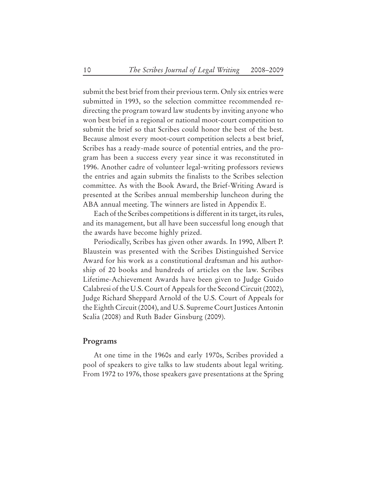submit the best brief from their previous term. Only six entries were submitted in 1993, so the selection committee recommended redirecting the program toward law students by inviting anyone who won best brief in a regional or national moot-court competition to submit the brief so that Scribes could honor the best of the best. Because almost every moot-court competition selects a best brief, Scribes has a ready-made source of potential entries, and the program has been a success every year since it was reconstituted in 1996. Another cadre of volunteer legal-writing professors reviews the entries and again submits the finalists to the Scribes selection committee. As with the Book Award, the Brief-Writing Award is presented at the Scribes annual membership luncheon during the ABA annual meeting. The winners are listed in Appendix E.

Each of the Scribes competitions is different in its target, its rules, and its management, but all have been successful long enough that the awards have become highly prized.

Periodically, Scribes has given other awards. In 1990, Albert P. Blaustein was presented with the Scribes Distinguished Service Award for his work as a constitutional draftsman and his authorship of 20 books and hundreds of articles on the law. Scribes Lifetime-Achievement Awards have been given to Judge Guido Calabresi of the U.S. Court of Appeals for the Second Circuit (2002), Judge Richard Sheppard Arnold of the U.S. Court of Appeals for the Eighth Circuit (2004), and U.S. Supreme Court Justices Antonin Scalia (2008) and Ruth Bader Ginsburg (2009).

#### **Programs**

At one time in the 1960s and early 1970s, Scribes provided a pool of speakers to give talks to law students about legal writing. From 1972 to 1976, those speakers gave presentations at the Spring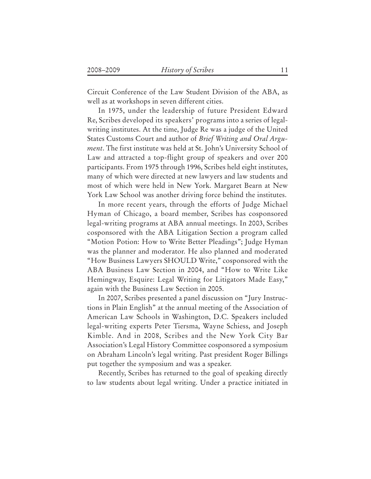Circuit Conference of the Law Student Division of the ABA, as well as at workshops in seven different cities.

In 1975, under the leadership of future President Edward Re, Scribes developed its speakers' programs into a series of legalwriting institutes. At the time, Judge Re was a judge of the United States Customs Court and author of *Brief Writing and Oral Argument*. The first institute was held at St. John's University School of Law and attracted a top-flight group of speakers and over 200 participants. From 1975 through 1996, Scribes held eight institutes, many of which were directed at new lawyers and law students and most of which were held in New York. Margaret Bearn at New York Law School was another driving force behind the institutes.

In more recent years, through the efforts of Judge Michael Hyman of Chicago, a board member, Scribes has cosponsored legal-writing programs at ABA annual meetings. In 2003, Scribes cosponsored with the ABA Litigation Section a program called "Motion Potion: How to Write Better Pleadings"; Judge Hyman was the planner and moderator. He also planned and moderated "How Business Lawyers SHOULD Write," cosponsored with the ABA Business Law Section in 2004, and "How to Write Like Hemingway, Esquire: Legal Writing for Litigators Made Easy," again with the Business Law Section in 2005.

In 2007, Scribes presented a panel discussion on "Jury Instructions in Plain English" at the annual meeting of the Association of American Law Schools in Washington, D.C. Speakers included legal-writing experts Peter Tiersma, Wayne Schiess, and Joseph Kimble. And in 2008, Scribes and the New York City Bar Association's Legal History Committee cosponsored a symposium on Abraham Lincoln's legal writing. Past president Roger Billings put together the symposium and was a speaker.

Recently, Scribes has returned to the goal of speaking directly to law students about legal writing. Under a practice initiated in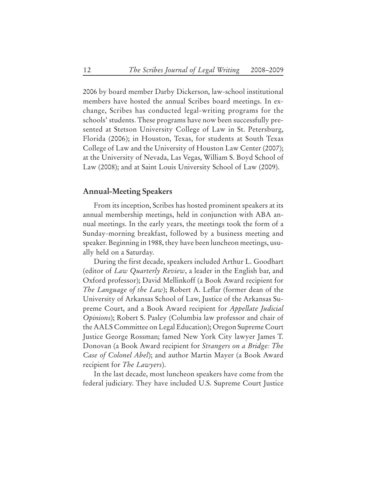2006 by board member Darby Dickerson, law-school institutional members have hosted the annual Scribes board meetings. In exchange, Scribes has conducted legal-writing programs for the schools' students. These programs have now been successfully presented at Stetson University College of Law in St. Petersburg, Florida (2006); in Houston, Texas, for students at South Texas College of Law and the University of Houston Law Center (2007); at the University of Nevada, Las Vegas, William S. Boyd School of Law (2008); and at Saint Louis University School of Law (2009).

#### **Annual-Meeting Speakers**

From its inception, Scribes has hosted prominent speakers at its annual membership meetings, held in conjunction with ABA annual meetings. In the early years, the meetings took the form of a Sunday-morning breakfast, followed by a business meeting and speaker. Beginning in 1988, they have been luncheon meetings, usually held on a Saturday.

During the first decade, speakers included Arthur L. Goodhart (editor of *Law Quarterly Review*, a leader in the English bar, and Oxford professor); David Mellinkoff (a Book Award recipient for *The Language of the Law*); Robert A. Leflar (former dean of the University of Arkansas School of Law, Justice of the Arkansas Supreme Court, and a Book Award recipient for *Appellate Judicial Opinions*); Robert S. Pasley (Columbia law professor and chair of the AALS Committee on Legal Education); Oregon Supreme Court Justice George Rossman; famed New York City lawyer James T. Donovan (a Book Award recipient for *Strangers on a Bridge: The Case of Colonel Abel*); and author Martin Mayer (a Book Award recipient for *The Lawyers*).

In the last decade, most luncheon speakers have come from the federal judiciary. They have included U.S. Supreme Court Justice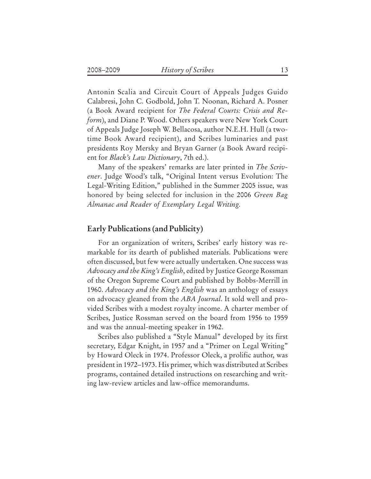Antonin Scalia and Circuit Court of Appeals Judges Guido Calabresi, John C. Godbold, John T. Noonan, Richard A. Posner (a Book Award recipient for *The Federal Courts: Crisis and Reform*), and Diane P. Wood. Others speakers were New York Court of Appeals Judge Joseph W. Bellacosa, author N.E.H. Hull (a twotime Book Award recipient), and Scribes luminaries and past presidents Roy Mersky and Bryan Garner (a Book Award recipient for *Black's Law Dictionary*, 7th ed.).

Many of the speakers' remarks are later printed in *The Scrivener*. Judge Wood's talk, "Original Intent versus Evolution: The Legal-Writing Edition," published in the Summer 2005 issue, was honored by being selected for inclusion in the 2006 *Green Bag Almanac and Reader of Exemplary Legal Writing.*

## **Early Publications (and Publicity)**

For an organization of writers, Scribes' early history was remarkable for its dearth of published materials. Publications were often discussed, but few were actually undertaken. One success was *Advocacy and the King's English*, edited by Justice George Rossman of the Oregon Supreme Court and published by Bobbs-Merrill in 1960. *Advocacy and the King's English* was an anthology of essays on advocacy gleaned from the *ABA Journal*. It sold well and provided Scribes with a modest royalty income. A charter member of Scribes, Justice Rossman served on the board from 1956 to 1959 and was the annual-meeting speaker in 1962.

Scribes also published a "Style Manual" developed by its first secretary, Edgar Knight, in 1957 and a "Primer on Legal Writing" by Howard Oleck in 1974. Professor Oleck, a prolific author, was president in 1972–1973. His primer, which was distributed at Scribes programs, contained detailed instructions on researching and writing law-review articles and law-office memorandums.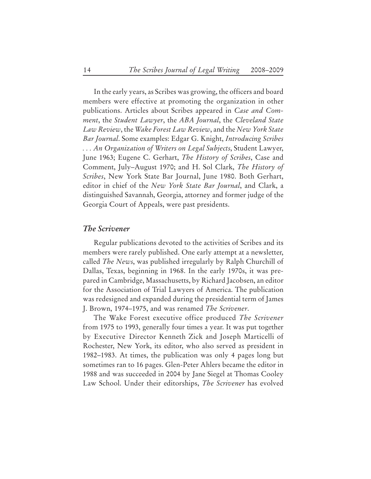In the early years, as Scribes was growing, the officers and board members were effective at promoting the organization in other publications. Articles about Scribes appeared in *Case and Comment*, the *Student Lawyer*, the *ABA Journal*, the *Cleveland State Law Review*, the *Wake Forest Law Review*, and the *New York State Bar Journal*. Some examples: Edgar G. Knight, *Introducing Scribes . . . An Organization of Writers on Legal Subjects*, Student Lawyer, June 1963; Eugene C. Gerhart, *The History of Scribes*, Case and Comment, July–August 1970; and H. Sol Clark, *The History of Scribes*, New York State Bar Journal, June 1980. Both Gerhart, editor in chief of the *New York State Bar Journal*, and Clark, a distinguished Savannah, Georgia, attorney and former judge of the Georgia Court of Appeals, were past presidents.

#### **The Scrivener**

Regular publications devoted to the activities of Scribes and its members were rarely published. One early attempt at a newsletter, called *The News*, was published irregularly by Ralph Churchill of Dallas, Texas, beginning in 1968. In the early 1970s, it was prepared in Cambridge, Massachusetts, by Richard Jacobsen, an editor for the Association of Trial Lawyers of America. The publication was redesigned and expanded during the presidential term of James J. Brown, 1974–1975, and was renamed *The Scrivener*.

The Wake Forest executive office produced *The Scrivener* from 1975 to 1993, generally four times a year. It was put together by Executive Director Kenneth Zick and Joseph Marticelli of Rochester, New York, its editor, who also served as president in 1982–1983. At times, the publication was only 4 pages long but sometimes ran to 16 pages. Glen-Peter Ahlers became the editor in 1988 and was succeeded in 2004 by Jane Siegel at Thomas Cooley Law School. Under their editorships, *The Scrivener* has evolved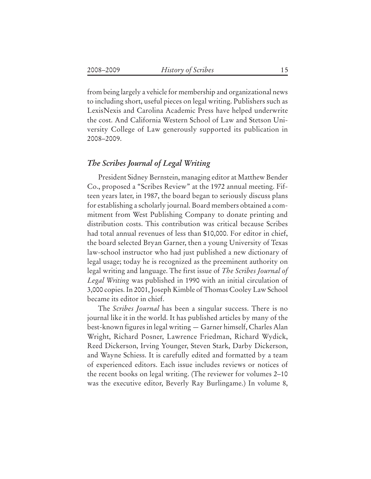from being largely a vehicle for membership and organizational news to including short, useful pieces on legal writing. Publishers such as LexisNexis and Carolina Academic Press have helped underwrite the cost. And California Western School of Law and Stetson University College of Law generously supported its publication in 2008–2009.

## **The Scribes Journal of Legal Writing**

President Sidney Bernstein, managing editor at Matthew Bender Co., proposed a "Scribes Review" at the 1972 annual meeting. Fifteen years later, in 1987, the board began to seriously discuss plans for establishing a scholarly journal. Board members obtained a commitment from West Publishing Company to donate printing and distribution costs. This contribution was critical because Scribes had total annual revenues of less than \$10,000. For editor in chief, the board selected Bryan Garner, then a young University of Texas law-school instructor who had just published a new dictionary of legal usage; today he is recognized as the preeminent authority on legal writing and language. The first issue of *The Scribes Journal of Legal Writing* was published in 1990 with an initial circulation of 3,000 copies. In 2001, Joseph Kimble of Thomas Cooley Law School became its editor in chief.

The *Scribes Journal* has been a singular success. There is no journal like it in the world. It has published articles by many of the best-known figures in legal writing — Garner himself, Charles Alan Wright, Richard Posner, Lawrence Friedman, Richard Wydick, Reed Dickerson, Irving Younger, Steven Stark, Darby Dickerson, and Wayne Schiess. It is carefully edited and formatted by a team of experienced editors. Each issue includes reviews or notices of the recent books on legal writing. (The reviewer for volumes 2–10 was the executive editor, Beverly Ray Burlingame.) In volume 8,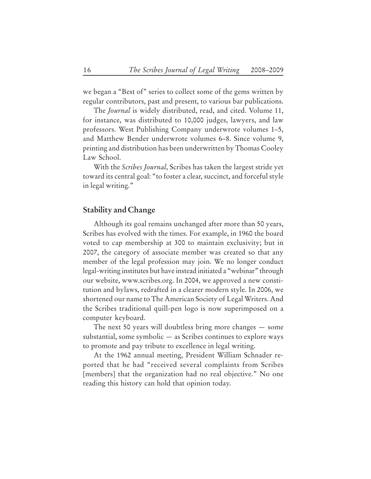we began a "Best of" series to collect some of the gems written by regular contributors, past and present, to various bar publications.

The *Journal* is widely distributed, read, and cited. Volume 11, for instance, was distributed to 10,000 judges, lawyers, and law professors. West Publishing Company underwrote volumes 1–5, and Matthew Bender underwrote volumes 6–8. Since volume 9, printing and distribution has been underwritten by Thomas Cooley Law School.

With the *Scribes Journal*, Scribes has taken the largest stride yet toward its central goal: "to foster a clear, succinct, and forceful style in legal writing."

#### **Stability and Change**

Although its goal remains unchanged after more than 50 years, Scribes has evolved with the times. For example, in 1960 the board voted to cap membership at 300 to maintain exclusivity; but in 2007, the category of associate member was created so that any member of the legal profession may join. We no longer conduct legal-writing institutes but have instead initiated a "webinar" through our website, www.scribes.org. In 2004, we approved a new constitution and bylaws, redrafted in a clearer modern style. In 2006, we shortened our name to The American Society of Legal Writers. And the Scribes traditional quill-pen logo is now superimposed on a computer keyboard.

The next 50 years will doubtless bring more changes — some substantial, some symbolic — as Scribes continues to explore ways to promote and pay tribute to excellence in legal writing.

At the 1962 annual meeting, President William Schnader reported that he had "received several complaints from Scribes [members] that the organization had no real objective." No one reading this history can hold that opinion today.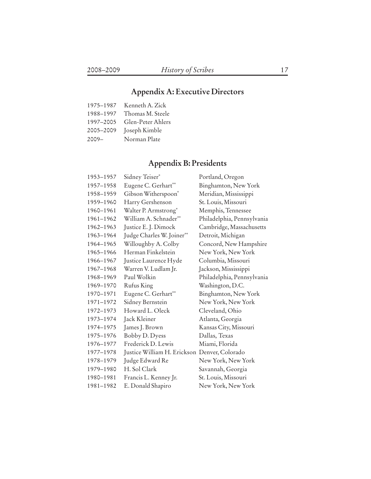# **Appendix A: Executive Directors**

| 1975-1987 | Kenneth A. Zick   |
|-----------|-------------------|
| 1988-1997 | Thomas M. Steele  |
| 1997-2005 | Glen-Peter Ahlers |
| 2005-2009 | Joseph Kimble     |
| $2009 -$  | Norman Plate      |

# **Appendix B: Presidents**

| 1953-1957 | Sidney Teiser*                               | Portland, Oregon           |
|-----------|----------------------------------------------|----------------------------|
| 1957-1958 | Eugene C. Gerhart**                          | Binghamton, New York       |
| 1958-1959 | Gibson Witherspoon*                          | Meridian, Mississippi      |
| 1959-1960 | Harry Gershenson                             | St. Louis, Missouri        |
| 1960-1961 | Walter P. Armstrong*                         | Memphis, Tennessee         |
| 1961-1962 | William A. Schnader**                        | Philadelphia, Pennsylvania |
| 1962-1963 | Justice E. J. Dimock                         | Cambridge, Massachusetts   |
| 1963-1964 | Judge Charles W. Joiner**                    | Detroit, Michigan          |
| 1964-1965 | Willoughby A. Colby                          | Concord, New Hampshire     |
| 1965-1966 | Herman Finkelstein                           | New York, New York         |
| 1966-1967 | Justice Laurence Hyde                        | Columbia, Missouri         |
| 1967-1968 | Warren V. Ludlam Jr.                         | Jackson, Mississippi       |
| 1968-1969 | Paul Wolkin                                  | Philadelphia, Pennsylvania |
| 1969-1970 | Rufus King                                   | Washington, D.C.           |
| 1970-1971 | Eugene C. Gerhart**                          | Binghamton, New York       |
| 1971-1972 | Sidney Bernstein                             | New York, New York         |
| 1972-1973 | Howard L. Oleck                              | Cleveland, Ohio            |
| 1973-1974 | Jack Kleiner                                 | Atlanta, Georgia           |
| 1974-1975 | James J. Brown                               | Kansas City, Missouri      |
| 1975-1976 | Bobby D. Dyess                               | Dallas, Texas              |
| 1976-1977 | Frederick D. Lewis                           | Miami, Florida             |
| 1977-1978 | Justice William H. Erickson Denver, Colorado |                            |
| 1978-1979 | Judge Edward Re                              | New York, New York         |
| 1979-1980 | H. Sol Clark                                 | Savannah, Georgia          |
| 1980-1981 | Francis L. Kenney Jr.                        | St. Louis, Missouri        |
| 1981-1982 | E. Donald Shapiro                            | New York, New York         |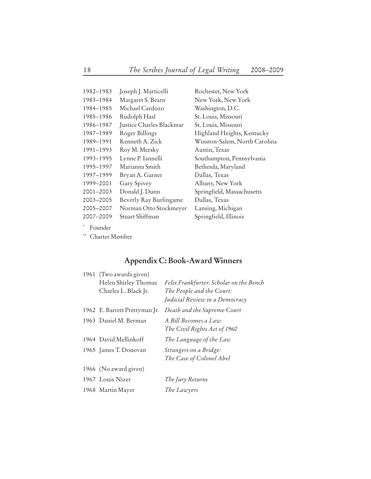| 1982-1983           | Joseph J. Marticelli     | Rochester, New York           |
|---------------------|--------------------------|-------------------------------|
| 1983-1984           | Margaret S. Bearn        | New York, New York            |
| 1984-1985           | Michael Cardozo          | Washington, D.C.              |
| 1985-1986           | Rudolph Hasl             | St. Louis, Missouri           |
| 1986-1987           | Justice Charles Blackmar | St. Louis, Missouri           |
| 1987-1989           | Roger Billings           | Highland Heights, Kentucky    |
| 1989-1991           | Kenneth A. Zick          | Winston-Salem, North Carolina |
| 1991-1993           | Roy M. Mersky            | Austin, Texas                 |
| 1993-1995           | Lynne P. Iannelli        | Southampton, Pennsylvania     |
| 1995-1997           | Marianna Smith           | Bethesda, Maryland            |
| 1997-1999           | Bryan A. Garner          | Dallas, Texas                 |
| 1999-2001           | Gary Spivey              | Albany, New York              |
| 2001-2003           | Donald J. Dunn           | Springfield, Massachusetts    |
| 2003-2005           | Beverly Ray Burlingame   | Dallas, Texas                 |
| 2005-2007           | Norman Otto Stockmeyer   | Lansing, Michigan             |
| 2007-2009           | Stuart Shiffman          | Springfield, Illinois         |
| $*$ . Expressed and |                          |                               |

**\*** Founder

**\*\*** Charter Member

## **Appendix C: Book-Award Winners**

| 1961 (Two awards given)<br>Helen Shirley Thomas<br>Charles L. Black Jr. | Felix Frankfurter: Scholar on the Bench<br>The People and the Court:<br>Judicial Review in a Democracy |
|-------------------------------------------------------------------------|--------------------------------------------------------------------------------------------------------|
| 1962 E. Barrett Prettyman Jr.                                           | Death and the Supreme Court                                                                            |
| 1963 Daniel M. Berman                                                   | A Bill Becomes a Law:<br>The Civil Rights Act of 1960                                                  |
| 1964 David Mellinkoff                                                   | The Language of the Law                                                                                |
| 1965 James T. Donovan                                                   | Strangers on a Bridge:<br>The Case of Colonel Abel                                                     |
| 1966 (No award given)                                                   |                                                                                                        |
| 1967 Louis Nizer                                                        | The Jury Returns                                                                                       |
| 1968 Martin Mayer                                                       | The Lawyers                                                                                            |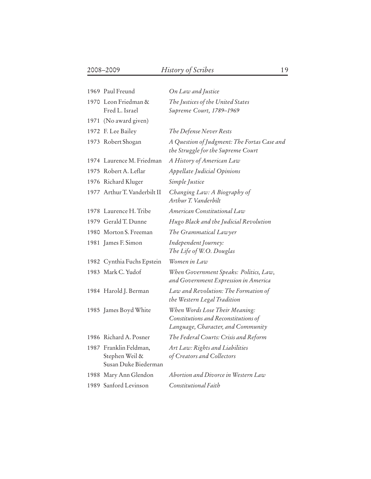| 1969 Paul Freund                                                 | On Law and Justice                                                                                           |
|------------------------------------------------------------------|--------------------------------------------------------------------------------------------------------------|
| 1970 Leon Friedman &<br>Fred L. Israel                           | The Justices of the United States<br>Supreme Court, 1789-1969                                                |
| 1971 (No award given)                                            |                                                                                                              |
| 1972 F. Lee Bailey                                               | The Defense Never Rests                                                                                      |
| 1973 Robert Shogan                                               | A Question of Judgment: The Fortas Case and<br>the Struggle for the Supreme Court                            |
| 1974 Laurence M. Friedman                                        | A History of American Law                                                                                    |
| 1975 Robert A. Leflar                                            | <b>Appellate Judicial Opinions</b>                                                                           |
| 1976 Richard Kluger                                              | Simple Justice                                                                                               |
| 1977 Arthur T. Vanderbilt II                                     | Changing Law: A Biography of<br>Arthur T. Vanderbilt                                                         |
| 1978 Laurence H. Tribe                                           | American Constitutional Law                                                                                  |
| 1979 Gerald T. Dunne                                             | Hugo Black and the Judicial Revolution                                                                       |
| 1980 Morton S. Freeman                                           | The Grammatical Lawyer                                                                                       |
| 1981 James F. Simon                                              | Independent Journey:<br>The Life of W.O. Douglas                                                             |
| 1982 Cynthia Fuchs Epstein                                       | Women in Law                                                                                                 |
| 1983 Mark C. Yudof                                               | When Government Speaks: Politics, Law,<br>and Government Expression in America                               |
| 1984 Harold J. Berman                                            | Law and Revolution: The Formation of<br>the Western Legal Tradition                                          |
| 1985 James Boyd White                                            | When Words Lose Their Meaning:<br>Constitutions and Reconstitutions of<br>Language, Character, and Community |
| 1986 Richard A. Posner                                           | The Federal Courts: Crisis and Reform                                                                        |
| 1987 Franklin Feldman,<br>Stephen Weil &<br>Susan Duke Biederman | Art Law: Rights and Liabilities<br>of Creators and Collectors                                                |
| 1988 Mary Ann Glendon                                            | Abortion and Divorce in Western Law                                                                          |
| 1989 Sanford Levinson                                            | Constitutional Faith                                                                                         |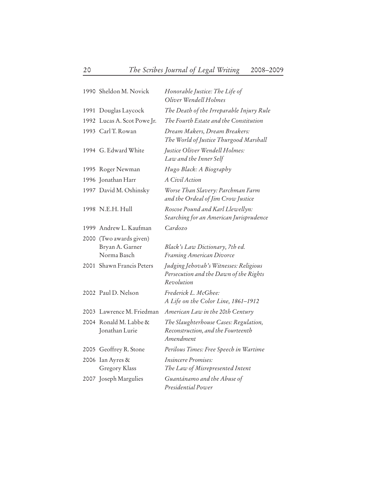|      | 1990 Sheldon M. Novick                               | Honorable Justice: The Life of<br>Oliver Wendell Holmes                                        |
|------|------------------------------------------------------|------------------------------------------------------------------------------------------------|
|      | 1991 Douglas Laycock                                 | The Death of the Irreparable Injury Rule                                                       |
|      | 1992 Lucas A. Scot Powe Jr.                          | The Fourth Estate and the Constitution                                                         |
|      | 1993 Carl T. Rowan                                   | Dream Makers, Dream Breakers:<br>The World of Justice Thurgood Marshall                        |
|      | 1994 G. Edward White                                 | Justice Oliver Wendell Holmes:<br>Law and the Inner Self                                       |
|      | 1995 Roger Newman                                    | Hugo Black: A Biography                                                                        |
|      | 1996 Jonathan Harr                                   | A Civil Action                                                                                 |
|      | 1997 David M. Oshinsky                               | Worse Than Slavery: Parchman Farm<br>and the Ordeal of Jim Crow Justice                        |
|      | 1998 N.E.H. Hull                                     | Roscoe Pound and Karl Llewellyn:<br>Searching for an American Jurisprudence                    |
| 1999 | Andrew L. Kaufman                                    | Cardozo                                                                                        |
| 2000 | (Two awards given)<br>Bryan A. Garner<br>Norma Basch | Black's Law Dictionary, 7th ed.<br>Framing American Divorce                                    |
|      | 2001 Shawn Francis Peters                            | Judging Jehovah's Witnesses: Religious<br>Persecution and the Dawn of the Rights<br>Revolution |
|      | 2002 Paul D. Nelson                                  | Frederick L. McGhee:<br>A Life on the Color Line, 1861-1912                                    |
|      | 2003 Lawrence M. Friedman                            | American Law in the 20th Century                                                               |
|      | 2004 Ronald M. Labbe &<br>Jonathan Lurie             | The Slaughterhouse Cases: Regulation,<br>Reconstruction, and the Fourteenth<br>Amendment       |
|      | 2005 Geoffrey R. Stone                               | Perilous Times: Free Speech in Wartime                                                         |
|      | 2006 Ian Ayres &<br>Gregory Klass                    | <i>Insincere Promises:</i><br>The Law of Misrepresented Intent                                 |
|      | 2007 Joseph Margulies                                | Guantánamo and the Abuse of<br>Presidential Power                                              |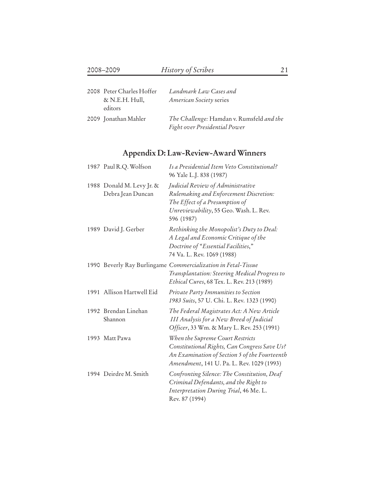| 2008 Peter Charles Hoffer | Landmark Law Cases and                    |
|---------------------------|-------------------------------------------|
| & N.E.H. Hull,            | American Society series                   |
| editors                   |                                           |
| 2009 Jonathan Mahler      | The Challenge: Hamdan v. Rumsfeld and the |
|                           | Fight over Presidential Power             |

# **Appendix D: Law-Review-Award Winners**

| 1987 Paul R.Q. Wolfson                         | Is a Presidential Item Veto Constitutional?<br>96 Yale L.J. 838 (1987)                                                                                                         |
|------------------------------------------------|--------------------------------------------------------------------------------------------------------------------------------------------------------------------------------|
| 1988 Donald M. Levy Jr. &<br>Debra Jean Duncan | Judicial Review of Administrative<br>Rulemaking and Enforcement Discretion:<br>The Effect of a Presumption of<br>Unreviewability, 55 Geo. Wash. L. Rev.<br>596 (1987)          |
| 1989 David J. Gerber                           | Rethinking the Monopolist's Duty to Deal:<br>A Legal and Economic Critique of the<br>Doctrine of "Essential Facilities,"<br>74 Va. L. Rev. 1069 (1988)                         |
|                                                | 1990 Beverly Ray Burlingame Commercialization in Fetal-Tissue<br>Transplantation: Steering Medical Progress to<br>Ethical Cures, 68 Tex. L. Rev. 213 (1989)                    |
| 1991 Allison Hartwell Eid                      | Private Party Immunities to Section<br>1983 Suits, 57 U. Chi. L. Rev. 1323 (1990)                                                                                              |
| 1992 Brendan Linehan<br>Shannon                | The Federal Magistrates Act: A New Article<br><b>III Analysis for a New Breed of Judicial</b><br>Officer, 33 Wm. & Mary L. Rev. 253 (1991)                                     |
| 1993 Matt Pawa                                 | When the Supreme Court Restricts<br>Constitutional Rights, Can Congress Save Us?<br>An Examination of Section 5 of the Fourteenth<br>Amendment, 141 U. Pa. L. Rev. 1029 (1993) |
| 1994 Deirdre M. Smith                          | Confronting Silence: The Constitution, Deaf<br>Criminal Defendants, and the Right to<br>Interpretation During Trial, 46 Me. L.<br>Rev. 87 (1994)                               |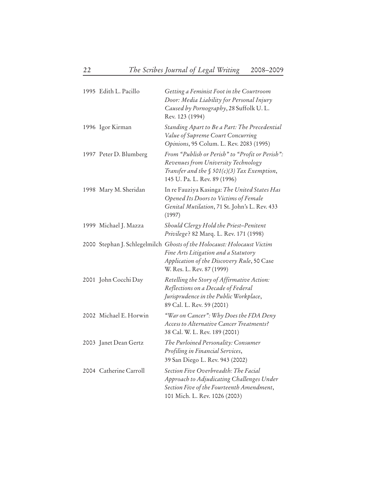| 1995 Edith L. Pacillo  | Getting a Feminist Foot in the Courtroom<br>Door: Media Liability for Personal Injury<br>Caused by Pornography, 28 Suffolk U.L.<br>Rev. 123 (1994)                                         |
|------------------------|--------------------------------------------------------------------------------------------------------------------------------------------------------------------------------------------|
| 1996 Igor Kirman       | Standing Apart to Be a Part: The Precedential<br>Value of Supreme Court Concurring<br>Opinions, 95 Colum. L. Rev. 2083 (1995)                                                              |
| 1997 Peter D. Blumberg | From "Publish or Perish" to "Profit or Perish":<br>Revenues from University Technology<br>Transfer and the $\int$ 501(c)(3) Tax Exemption,<br>145 U. Pa. L. Rev. 89 (1996)                 |
| 1998 Mary M. Sheridan  | In re Fauziya Kasinga: The United States Has<br>Opened Its Doors to Victims of Female<br>Genital Mutilation, 71 St. John's L. Rev. 433<br>(1997)                                           |
| 1999 Michael J. Mazza  | Should Clergy Hold the Priest-Penitent<br>Privilege? 82 Marq. L. Rev. 171 (1998)                                                                                                           |
|                        | 2000 Stephan J. Schlegelmilch Ghosts of the Holocaust: Holocaust Victim<br>Fine Arts Litigation and a Statutory<br>Application of the Discovery Rule, 50 Case<br>W. Res. L. Rev. 87 (1999) |
| 2001 John Cocchi Day   | Retelling the Story of Affirmative Action:<br>Reflections on a Decade of Federal<br>Jurisprudence in the Public Workplace,<br>89 Cal. L. Rev. 59 (2001)                                    |
| 2002 Michael E. Horwin | "War on Cancer": Why Does the FDA Deny<br>Access to Alternative Cancer Treatments?<br>38 Cal. W. L. Rev. 189 (2001)                                                                        |
| 2003 Janet Dean Gertz  | The Purloined Personality: Consumer<br>Profiling in Financial Services,<br>39 San Diego L. Rev. 943 (2002)                                                                                 |
| 2004 Catherine Carroll | Section Five Overbreadth: The Facial<br>Approach to Adjudicating Challenges Under<br>Section Five of the Fourteenth Amendment,<br>101 Mich. L. Rev. 1026 (2003)                            |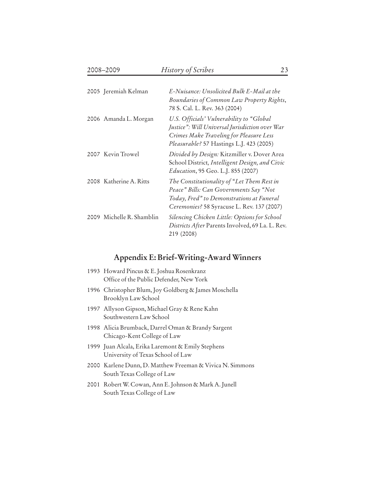| 2005 Jeremiah Kelman      | E-Nuisance: Unsolicited Bulk E-Mail at the<br>Boundaries of Common Law Property Rights,<br>78 S. Cal. L. Rev. 363 (2004)                                                           |
|---------------------------|------------------------------------------------------------------------------------------------------------------------------------------------------------------------------------|
| 2006 Amanda L. Morgan     | U.S. Officials' Vulnerability to "Global"<br>Justice": Will Universal Jurisdiction over War<br>Crimes Make Traveling for Pleasure Less<br>Pleasurable? 57 Hastings L.J. 423 (2005) |
| 2007 Kevin Trowel         | Divided by Design: Kitzmiller v. Dover Area<br>School District, Intelligent Design, and Civic<br><i>Education</i> , 95 Geo. L.J. 855 (2007)                                        |
| 2008 Katherine A. Ritts   | The Constitutionality of "Let Them Rest in<br>Peace" Bills: Can Governments Say "Not<br>Today, Fred" to Demonstrations at Funeral<br>Ceremonies? 58 Syracuse L. Rev. 137 (2007)    |
| 2009 Michelle R. Shamblin | Silencing Chicken Little: Options for School<br>Districts After Parents Involved, 69 La. L. Rev.<br>219 (2008)                                                                     |

# **Appendix E: Brief-Writing-Award Winners**

| 1993 Howard Pincus & E. Joshua Rosenkranz<br>Office of the Public Defender, New York    |
|-----------------------------------------------------------------------------------------|
| 1996 Christopher Blum, Joy Goldberg & James Moschella<br>Brooklyn Law School            |
| 1997 Allyson Gipson, Michael Gray & Rene Kahn<br>Southwestern Law School                |
| 1998 Alicia Brumback, Darrel Oman & Brandy Sargent<br>Chicago-Kent College of Law       |
| 1999 Juan Alcala, Erika Laremont & Emily Stephens<br>University of Texas School of Law  |
| 2000 Karlene Dunn, D. Matthew Freeman & Vivica N. Simmons<br>South Texas College of Law |
| 2001   Robert W. Cowan, Ann E. Johnson & Mark A. Junell<br>South Texas College of Law   |